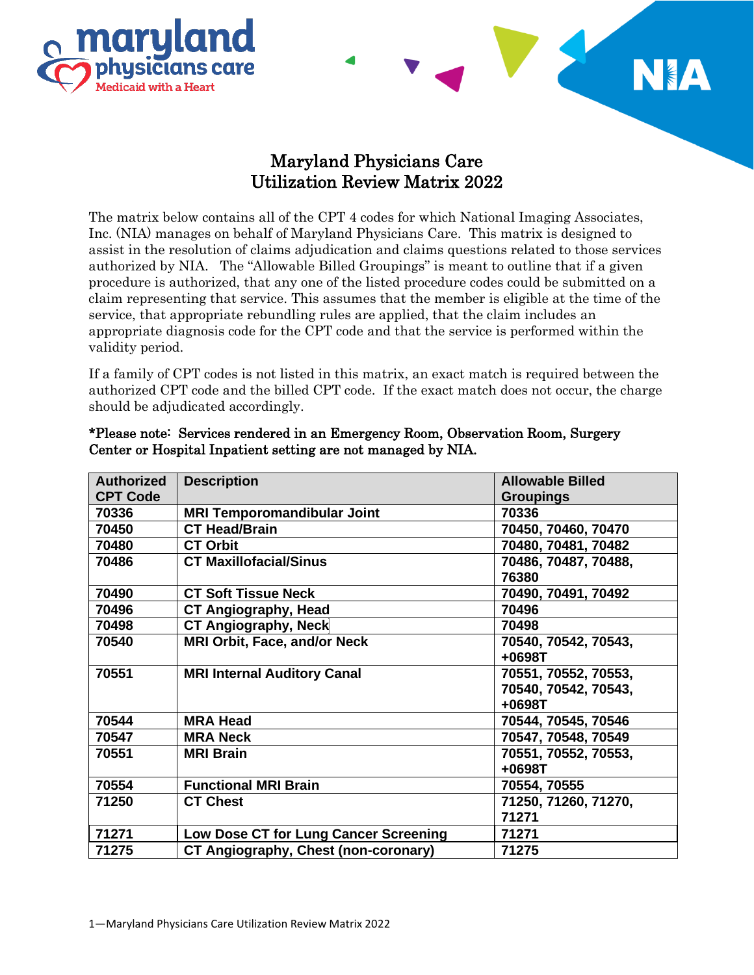



## Maryland Physicians Care Utilization Review Matrix 2022

The matrix below contains all of the CPT 4 codes for which National Imaging Associates, Inc. (NIA) manages on behalf of Maryland Physicians Care. This matrix is designed to assist in the resolution of claims adjudication and claims questions related to those services authorized by NIA. The "Allowable Billed Groupings" is meant to outline that if a given procedure is authorized, that any one of the listed procedure codes could be submitted on a claim representing that service. This assumes that the member is eligible at the time of the service, that appropriate rebundling rules are applied, that the claim includes an appropriate diagnosis code for the CPT code and that the service is performed within the validity period.

If a family of CPT codes is not listed in this matrix, an exact match is required between the authorized CPT code and the billed CPT code. If the exact match does not occur, the charge should be adjudicated accordingly.

| <b>Authorized</b> | <b>Description</b>                    | <b>Allowable Billed</b> |
|-------------------|---------------------------------------|-------------------------|
| <b>CPT Code</b>   |                                       | <b>Groupings</b>        |
| 70336             | <b>MRI Temporomandibular Joint</b>    | 70336                   |
| 70450             | <b>CT Head/Brain</b>                  | 70450, 70460, 70470     |
| 70480             | <b>CT Orbit</b>                       | 70480, 70481, 70482     |
| 70486             | <b>CT Maxillofacial/Sinus</b>         | 70486, 70487, 70488,    |
|                   |                                       | 76380                   |
| 70490             | <b>CT Soft Tissue Neck</b>            | 70490, 70491, 70492     |
| 70496             | <b>CT Angiography, Head</b>           | 70496                   |
| 70498             | <b>CT Angiography, Neck</b>           | 70498                   |
| 70540             | <b>MRI Orbit, Face, and/or Neck</b>   | 70540, 70542, 70543,    |
|                   |                                       | $+0698T$                |
| 70551             | <b>MRI Internal Auditory Canal</b>    | 70551, 70552, 70553,    |
|                   |                                       | 70540, 70542, 70543,    |
|                   |                                       | $+0698T$                |
| 70544             | <b>MRA Head</b>                       | 70544, 70545, 70546     |
| 70547             | <b>MRA Neck</b>                       | 70547, 70548, 70549     |
| 70551             | <b>MRI Brain</b>                      | 70551, 70552, 70553,    |
|                   |                                       | $+0698T$                |
| 70554             | <b>Functional MRI Brain</b>           | 70554, 70555            |
| 71250             | <b>CT Chest</b>                       | 71250, 71260, 71270,    |
|                   |                                       | 71271                   |
| 71271             | Low Dose CT for Lung Cancer Screening | 71271                   |
| 71275             | CT Angiography, Chest (non-coronary)  | 71275                   |

## \*Please note: Services rendered in an Emergency Room, Observation Room, Surgery Center or Hospital Inpatient setting are not managed by NIA.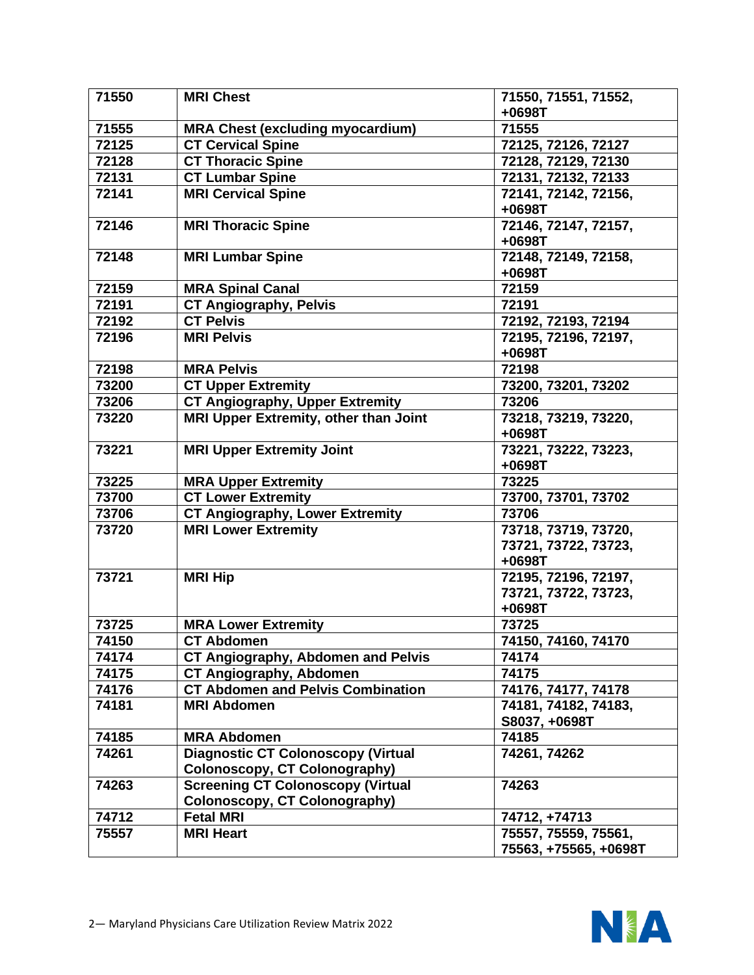| 71550 | <b>MRI Chest</b>                          | 71550, 71551, 71552,                  |
|-------|-------------------------------------------|---------------------------------------|
|       |                                           | +0698T                                |
| 71555 | <b>MRA Chest (excluding myocardium)</b>   | 71555                                 |
| 72125 | <b>CT Cervical Spine</b>                  | 72125, 72126, 72127                   |
| 72128 | <b>CT Thoracic Spine</b>                  | 72128, 72129, 72130                   |
| 72131 | <b>CT Lumbar Spine</b>                    | 72131, 72132, 72133                   |
| 72141 | <b>MRI Cervical Spine</b>                 | 72141, 72142, 72156,                  |
|       |                                           | +0698T                                |
| 72146 | <b>MRI Thoracic Spine</b>                 | 72146, 72147, 72157,<br>$+0698T$      |
| 72148 | <b>MRI Lumbar Spine</b>                   | 72148, 72149, 72158,                  |
|       |                                           | +0698T                                |
| 72159 | <b>MRA Spinal Canal</b>                   | 72159                                 |
| 72191 | <b>CT Angiography, Pelvis</b>             | 72191                                 |
| 72192 | <b>CT Pelvis</b>                          | 72192, 72193, 72194                   |
| 72196 | <b>MRI Pelvis</b>                         | 72195, 72196, 72197,                  |
|       |                                           | +0698T                                |
| 72198 | <b>MRA Pelvis</b>                         | 72198                                 |
| 73200 | <b>CT Upper Extremity</b>                 | 73200, 73201, 73202                   |
| 73206 | <b>CT Angiography, Upper Extremity</b>    | 73206                                 |
| 73220 | MRI Upper Extremity, other than Joint     | 73218, 73219, 73220,<br>+0698T        |
| 73221 | <b>MRI Upper Extremity Joint</b>          | 73221, 73222, 73223,                  |
|       |                                           | +0698T                                |
| 73225 | <b>MRA Upper Extremity</b>                | 73225                                 |
| 73700 | <b>CT Lower Extremity</b>                 | 73700, 73701, 73702                   |
| 73706 | <b>CT Angiography, Lower Extremity</b>    | 73706                                 |
| 73720 | <b>MRI Lower Extremity</b>                | 73718, 73719, 73720,                  |
|       |                                           | 73721, 73722, 73723,                  |
|       |                                           | +0698T                                |
| 73721 | <b>MRI Hip</b>                            | 72195, 72196, 72197,                  |
|       |                                           | 73721, 73722, 73723,                  |
|       |                                           | +0698T                                |
| 73725 | <b>MRA Lower Extremity</b>                | 73725                                 |
| 74150 | <b>CT Abdomen</b>                         | 74150, 74160, 74170                   |
| 74174 | <b>CT Angiography, Abdomen and Pelvis</b> | 74174                                 |
| 74175 | CT Angiography, Abdomen                   | 74175                                 |
| 74176 | <b>CT Abdomen and Pelvis Combination</b>  | 74176, 74177, 74178                   |
| 74181 | <b>MRI Abdomen</b>                        | 74181, 74182, 74183,<br>S8037, +0698T |
| 74185 | <b>MRA Abdomen</b>                        | 74185                                 |
| 74261 | <b>Diagnostic CT Colonoscopy (Virtual</b> | 74261, 74262                          |
|       | Colonoscopy, CT Colonography)             |                                       |
| 74263 | <b>Screening CT Colonoscopy (Virtual</b>  | 74263                                 |
|       | Colonoscopy, CT Colonography)             |                                       |
| 74712 | <b>Fetal MRI</b>                          | 74712, +74713                         |
| 75557 | <b>MRI Heart</b>                          | 75557, 75559, 75561,                  |
|       |                                           | 75563, +75565, +0698T                 |

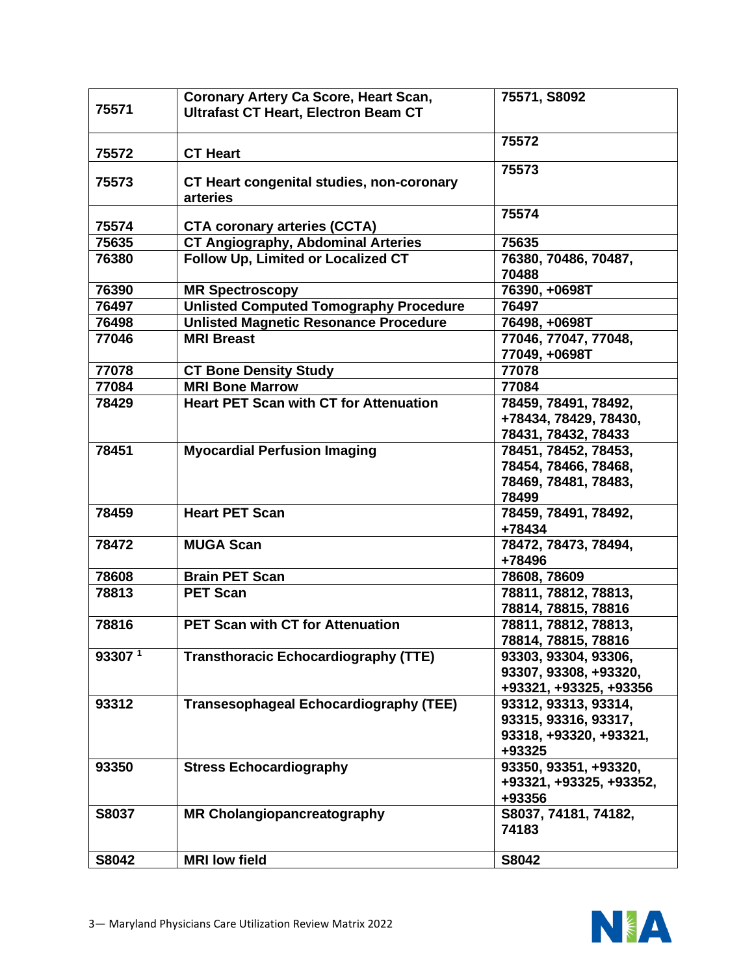| 75571   | Coronary Artery Ca Score, Heart Scan,<br><b>Ultrafast CT Heart, Electron Beam CT</b> | 75571, S8092                  |
|---------|--------------------------------------------------------------------------------------|-------------------------------|
| 75572   | <b>CT Heart</b>                                                                      | 75572                         |
| 75573   | CT Heart congenital studies, non-coronary<br>arteries                                | 75573                         |
| 75574   | <b>CTA coronary arteries (CCTA)</b>                                                  | 75574                         |
| 75635   | <b>CT Angiography, Abdominal Arteries</b>                                            | 75635                         |
| 76380   | Follow Up, Limited or Localized CT                                                   | 76380, 70486, 70487,          |
|         |                                                                                      | 70488                         |
| 76390   | <b>MR Spectroscopy</b>                                                               | 76390, +0698T                 |
| 76497   | <b>Unlisted Computed Tomography Procedure</b>                                        | 76497                         |
| 76498   | <b>Unlisted Magnetic Resonance Procedure</b>                                         | 76498, +0698T                 |
| 77046   | <b>MRI Breast</b>                                                                    | 77046, 77047, 77048,          |
|         |                                                                                      | 77049, +0698T                 |
| 77078   | <b>CT Bone Density Study</b>                                                         | 77078                         |
| 77084   | <b>MRI Bone Marrow</b>                                                               | 77084                         |
| 78429   | <b>Heart PET Scan with CT for Attenuation</b>                                        | 78459, 78491, 78492,          |
|         |                                                                                      | +78434, 78429, 78430,         |
|         |                                                                                      | 78431, 78432, 78433           |
| 78451   | <b>Myocardial Perfusion Imaging</b>                                                  | 78451, 78452, 78453,          |
|         |                                                                                      | 78454, 78466, 78468,          |
|         |                                                                                      | 78469, 78481, 78483,          |
|         |                                                                                      | 78499                         |
| 78459   | <b>Heart PET Scan</b>                                                                | 78459, 78491, 78492,          |
|         |                                                                                      | +78434                        |
| 78472   | <b>MUGA Scan</b>                                                                     | 78472, 78473, 78494,          |
|         |                                                                                      | +78496                        |
| 78608   | <b>Brain PET Scan</b>                                                                | 78608, 78609                  |
| 78813   | <b>PET Scan</b>                                                                      | 78811, 78812, 78813,          |
|         |                                                                                      | 78814, 78815, 78816           |
| 78816   | <b>PET Scan with CT for Attenuation</b>                                              | 78811, 78812, 78813,          |
|         |                                                                                      | 78814, 78815, 78816           |
| 93307 1 | <b>Transthoracic Echocardiography (TTE)</b>                                          | 93303, 93304, 93306,          |
|         |                                                                                      | 93307, 93308, +93320,         |
|         |                                                                                      | +93321, +93325, +93356        |
| 93312   | <b>Transesophageal Echocardiography (TEE)</b>                                        | 93312, 93313, 93314,          |
|         |                                                                                      | 93315, 93316, 93317,          |
|         |                                                                                      | 93318, +93320, +93321,        |
|         |                                                                                      | +93325                        |
| 93350   | <b>Stress Echocardiography</b>                                                       | 93350, 93351, +93320,         |
|         |                                                                                      | +93321, +93325, +93352,       |
|         |                                                                                      | +93356                        |
| S8037   | <b>MR Cholangiopancreatography</b>                                                   | S8037, 74181, 74182,<br>74183 |
| S8042   | <b>MRI</b> low field                                                                 | S8042                         |